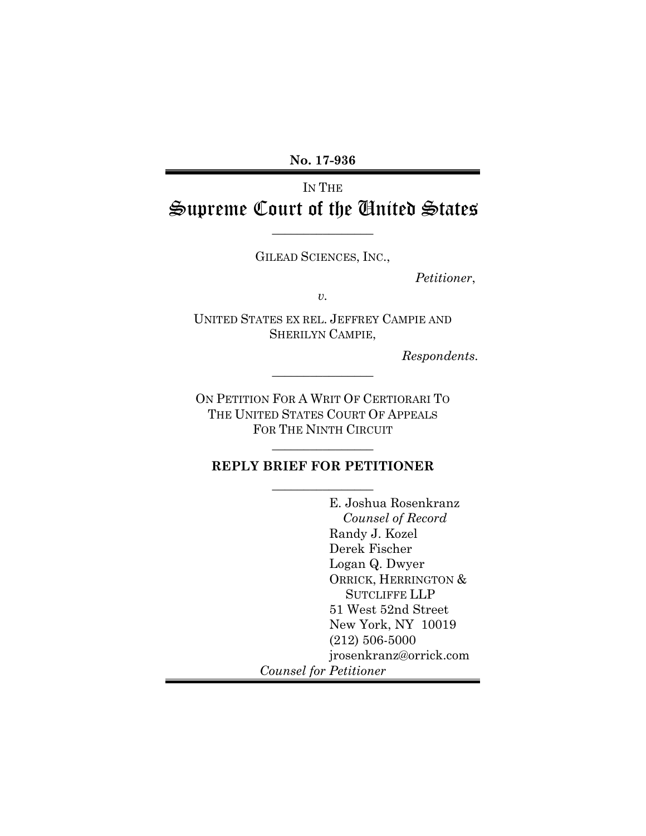**No. 17-936** 

# IN THE Supreme Court of the United States

GILEAD SCIENCES, INC.,

 $\overline{\phantom{a}}$  , where  $\overline{\phantom{a}}$ 

 *Petitioner*,

*v.* 

UNITED STATES EX REL. JEFFREY CAMPIE AND SHERILYN CAMPIE,

 *Respondents.* 

ON PETITION FOR A WRIT OF CERTIORARI TO THE UNITED STATES COURT OF APPEALS FOR THE NINTH CIRCUIT

 $\frac{1}{2}$  , where  $\frac{1}{2}$  , where  $\frac{1}{2}$ 

 $\frac{1}{2}$  , where  $\frac{1}{2}$  , where  $\frac{1}{2}$ 

# **REPLY BRIEF FOR PETITIONER**  $\overline{\phantom{a}}$  , where  $\overline{\phantom{a}}$

 E. Joshua Rosenkranz *Counsel of Record*  Randy J. Kozel Derek Fischer Logan Q. Dwyer ORRICK, HERRINGTON & SUTCLIFFE LLP 51 West 52nd Street New York, NY 10019 (212) 506-5000 jrosenkranz@orrick.com *Counsel for Petitioner*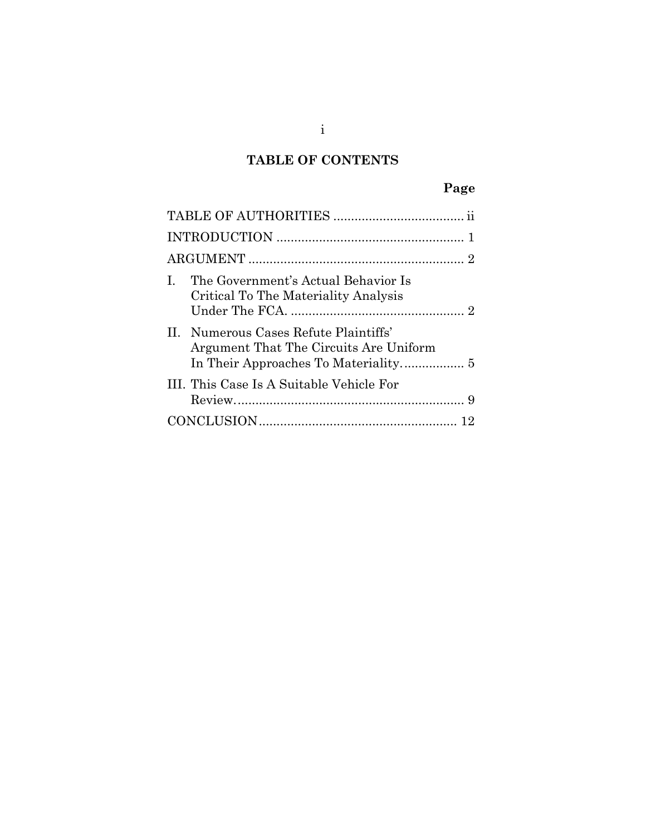# **TABLE OF CONTENTS**

# **Page**

| The Government's Actual Behavior Is<br>$\mathbf{I}$<br>Critical To The Materiality Analysis |
|---------------------------------------------------------------------------------------------|
| II. Numerous Cases Refute Plaintiffs'<br>Argument That The Circuits Are Uniform             |
| III. This Case Is A Suitable Vehicle For                                                    |
|                                                                                             |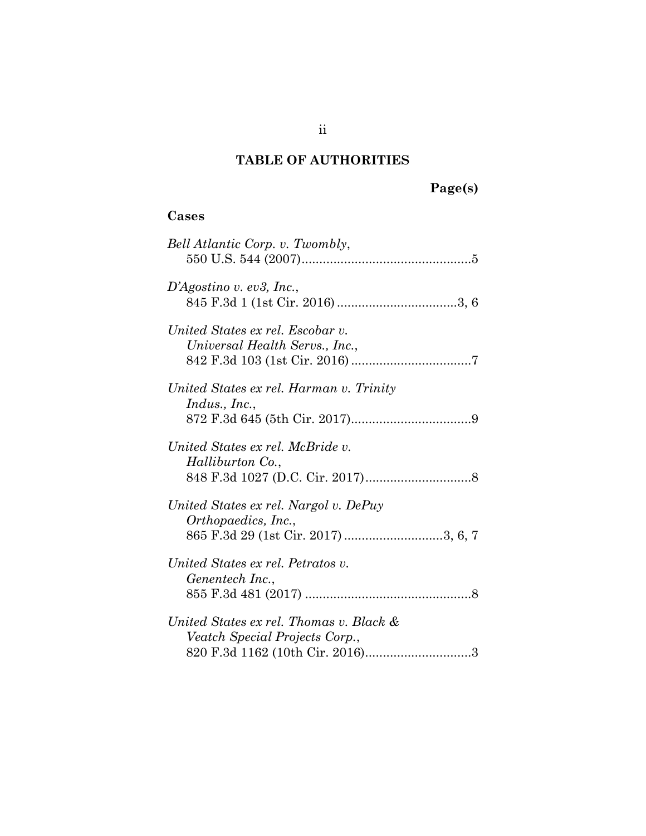# **TABLE OF AUTHORITIES**

# **Page(s)**

## **Cases**

| Bell Atlantic Corp. v. Twombly,                                                                     |
|-----------------------------------------------------------------------------------------------------|
| D'Agostino v. ev3, Inc.,                                                                            |
| United States ex rel. Escobar v.<br>Universal Health Servs., Inc.,                                  |
| United States ex rel. Harman v. Trinity<br>Indus., Inc.,                                            |
| United States ex rel. McBride v.<br>Halliburton Co.,                                                |
| United States ex rel. Nargol v. DePuy<br>Orthopaedics, Inc.,<br>865 F.3d 29 (1st Cir. 2017) 3, 6, 7 |
| United States ex rel. Petratos v.<br>Genentech Inc.,                                                |
| United States ex rel. Thomas v. Black &<br>Veatch Special Projects Corp.,                           |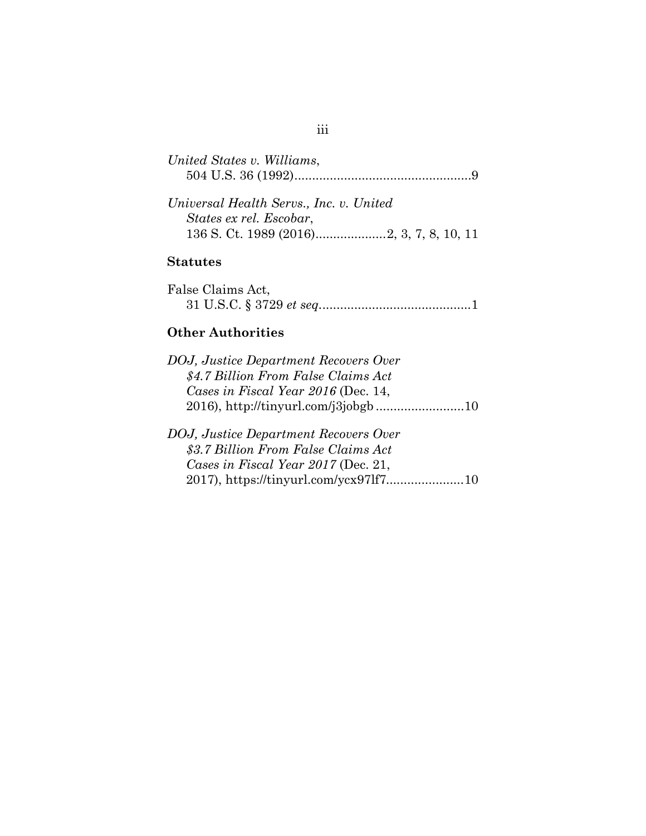| United States v. Williams,              |  |
|-----------------------------------------|--|
|                                         |  |
|                                         |  |
| Universal Health Servs., Inc. v. United |  |

| Universal Health Servs., Inc. v. United |  |
|-----------------------------------------|--|
| States ex rel. Escobar,                 |  |
|                                         |  |

## **Statutes**

| False Claims Act, |  |
|-------------------|--|
|                   |  |

# **Other Authorities**

| DOJ, Justice Department Recovers Over                                                                               |
|---------------------------------------------------------------------------------------------------------------------|
| \$4.7 Billion From False Claims Act                                                                                 |
| Cases in Fiscal Year 2016 (Dec. 14,                                                                                 |
|                                                                                                                     |
| DOJ, Justice Department Recovers Over<br>\$3.7 Billion From False Claims Act<br>Cases in Fiscal Year 2017 (Dec. 21, |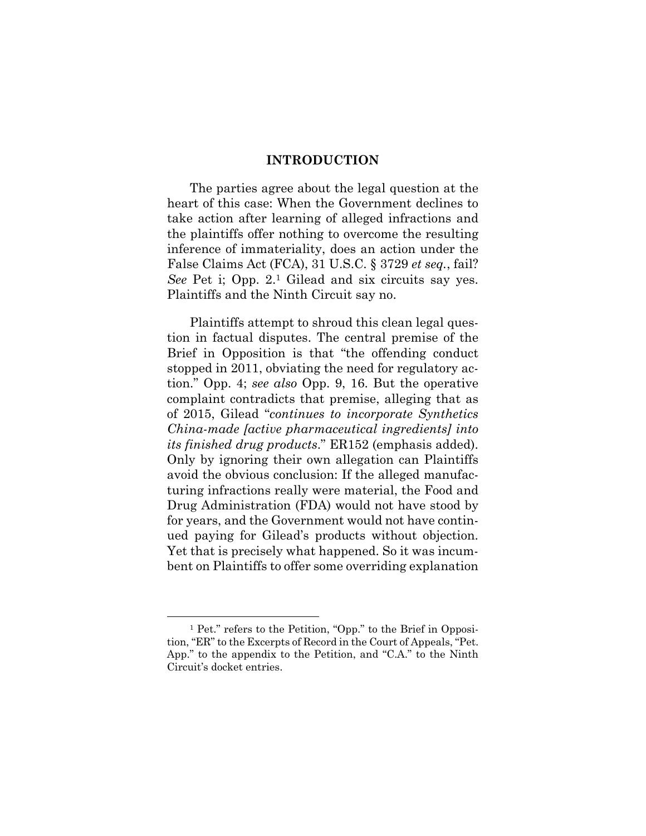### **INTRODUCTION**

The parties agree about the legal question at the heart of this case: When the Government declines to take action after learning of alleged infractions and the plaintiffs offer nothing to overcome the resulting inference of immateriality, does an action under the False Claims Act (FCA), 31 U.S.C. § 3729 *et seq.*, fail? *See* Pet i; Opp. 2.1 Gilead and six circuits say yes. Plaintiffs and the Ninth Circuit say no.

Plaintiffs attempt to shroud this clean legal question in factual disputes. The central premise of the Brief in Opposition is that "the offending conduct stopped in 2011, obviating the need for regulatory action." Opp. 4; *see also* Opp. 9, 16. But the operative complaint contradicts that premise, alleging that as of 2015, Gilead "*continues to incorporate Synthetics China-made [active pharmaceutical ingredients] into its finished drug products*." ER152 (emphasis added). Only by ignoring their own allegation can Plaintiffs avoid the obvious conclusion: If the alleged manufacturing infractions really were material, the Food and Drug Administration (FDA) would not have stood by for years, and the Government would not have continued paying for Gilead's products without objection. Yet that is precisely what happened. So it was incumbent on Plaintiffs to offer some overriding explanation

 <sup>1</sup> Pet." refers to the Petition, "Opp." to the Brief in Opposition, "ER" to the Excerpts of Record in the Court of Appeals, "Pet. App." to the appendix to the Petition, and "C.A." to the Ninth Circuit's docket entries.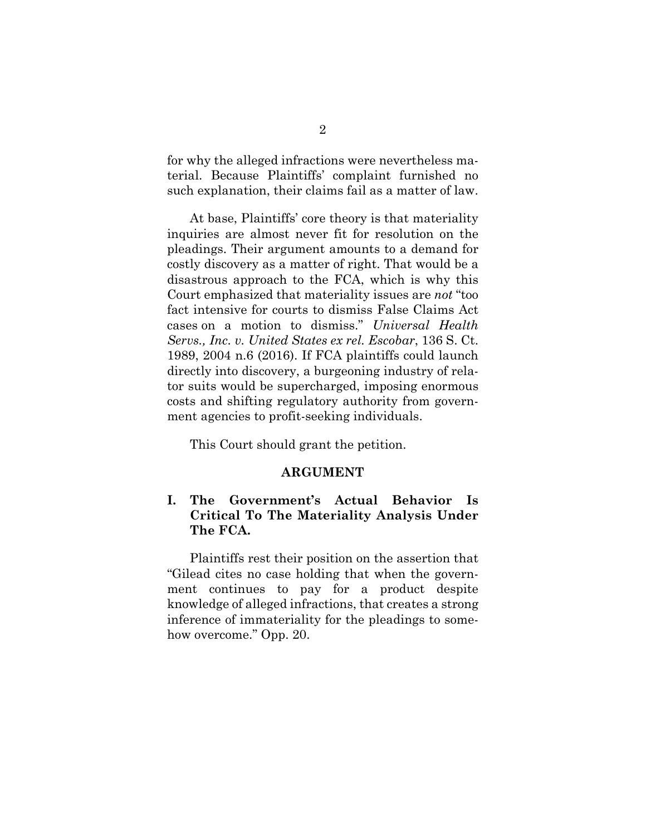for why the alleged infractions were nevertheless material. Because Plaintiffs' complaint furnished no such explanation, their claims fail as a matter of law.

At base, Plaintiffs' core theory is that materiality inquiries are almost never fit for resolution on the pleadings. Their argument amounts to a demand for costly discovery as a matter of right. That would be a disastrous approach to the FCA, which is why this Court emphasized that materiality issues are *not* "too fact intensive for courts to dismiss False Claims Act cases on a motion to dismiss." *Universal Health Servs., Inc. v. United States ex rel. Escobar*, 136 S. Ct. 1989, 2004 n.6 (2016). If FCA plaintiffs could launch directly into discovery, a burgeoning industry of relator suits would be supercharged, imposing enormous costs and shifting regulatory authority from government agencies to profit-seeking individuals.

This Court should grant the petition.

#### **ARGUMENT**

## **I. The Government's Actual Behavior Is Critical To The Materiality Analysis Under The FCA.**

Plaintiffs rest their position on the assertion that "Gilead cites no case holding that when the government continues to pay for a product despite knowledge of alleged infractions, that creates a strong inference of immateriality for the pleadings to somehow overcome." Opp. 20.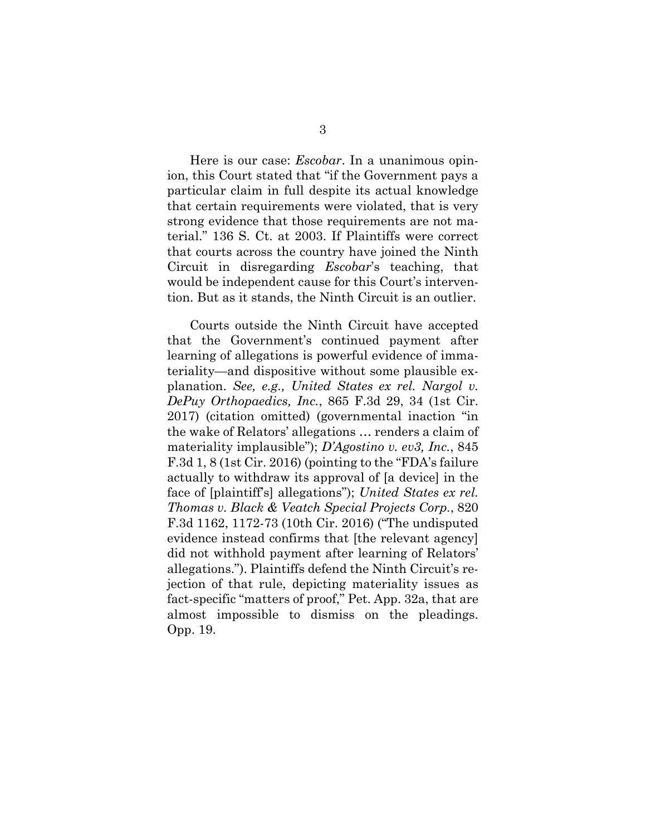Here is our case: *Escobar*. In a unanimous opinion, this Court stated that "if the Government pays a particular claim in full despite its actual knowledge that certain requirements were violated, that is very strong evidence that those requirements are not material." 136 S. Ct. at 2003. If Plaintiffs were correct that courts across the country have joined the Ninth Circuit in disregarding *Escobar*'s teaching, that would be independent cause for this Court's intervention. But as it stands, the Ninth Circuit is an outlier.

Courts outside the Ninth Circuit have accepted that the Government's continued payment after learning of allegations is powerful evidence of immateriality—and dispositive without some plausible explanation. *See, e.g., United States ex rel. Nargol v. DePuy Orthopaedics, Inc.*, 865 F.3d 29, 34 (1st Cir. 2017) (citation omitted) (governmental inaction "in the wake of Relators' allegations … renders a claim of materiality implausible"); *D'Agostino v. ev3, Inc.*, 845 F.3d 1, 8 (1st Cir. 2016) (pointing to the "FDA's failure actually to withdraw its approval of [a device] in the face of [plaintiff's] allegations"); *United States ex rel. Thomas v. Black & Veatch Special Projects Corp.*, 820 F.3d 1162, 1172-73 (10th Cir. 2016) ("The undisputed evidence instead confirms that [the relevant agency] did not withhold payment after learning of Relators' allegations."). Plaintiffs defend the Ninth Circuit's rejection of that rule, depicting materiality issues as fact-specific "matters of proof," Pet. App. 32a, that are almost impossible to dismiss on the pleadings. Opp. 19.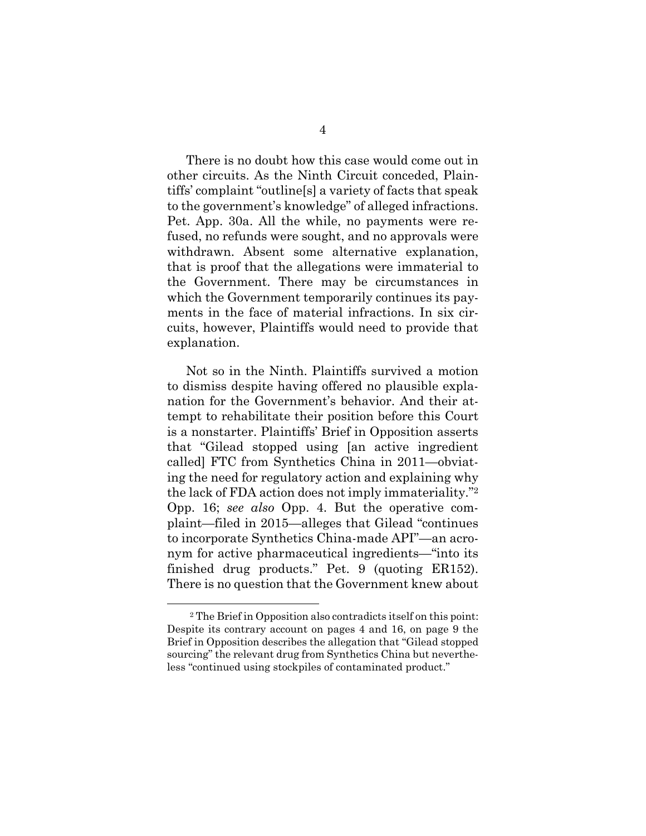There is no doubt how this case would come out in other circuits. As the Ninth Circuit conceded, Plaintiffs' complaint "outline[s] a variety of facts that speak to the government's knowledge" of alleged infractions. Pet. App. 30a. All the while, no payments were refused, no refunds were sought, and no approvals were withdrawn. Absent some alternative explanation, that is proof that the allegations were immaterial to the Government. There may be circumstances in which the Government temporarily continues its payments in the face of material infractions. In six circuits, however, Plaintiffs would need to provide that explanation.

Not so in the Ninth. Plaintiffs survived a motion to dismiss despite having offered no plausible explanation for the Government's behavior. And their attempt to rehabilitate their position before this Court is a nonstarter. Plaintiffs' Brief in Opposition asserts that "Gilead stopped using [an active ingredient called] FTC from Synthetics China in 2011—obviating the need for regulatory action and explaining why the lack of FDA action does not imply immateriality."2 Opp. 16; *see also* Opp. 4. But the operative complaint—filed in 2015—alleges that Gilead "continues to incorporate Synthetics China-made API"—an acronym for active pharmaceutical ingredients—"into its finished drug products." Pet. 9 (quoting ER152). There is no question that the Government knew about

 <sup>2</sup> The Brief in Opposition also contradicts itself on this point: Despite its contrary account on pages 4 and 16, on page 9 the Brief in Opposition describes the allegation that "Gilead stopped sourcing" the relevant drug from Synthetics China but nevertheless "continued using stockpiles of contaminated product."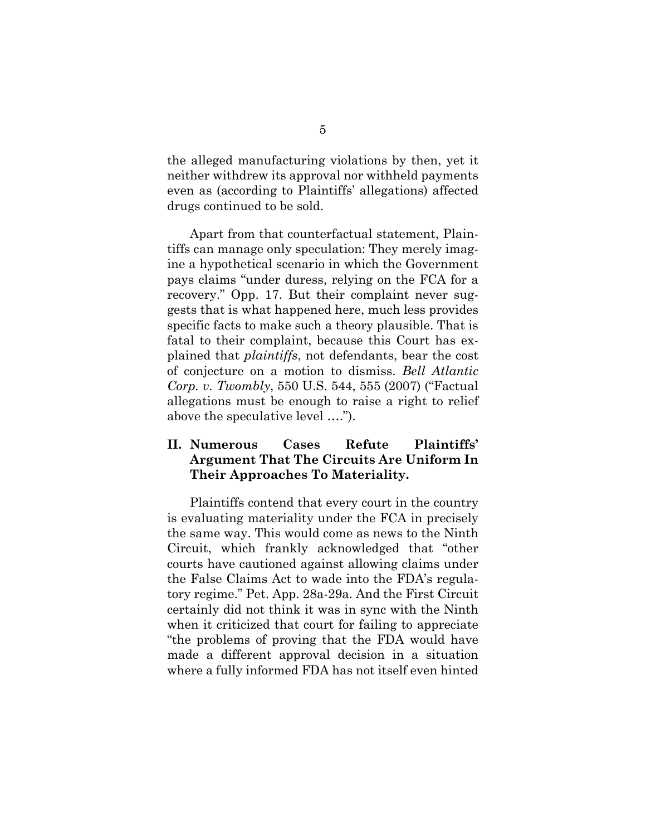the alleged manufacturing violations by then, yet it neither withdrew its approval nor withheld payments even as (according to Plaintiffs' allegations) affected drugs continued to be sold.

Apart from that counterfactual statement, Plaintiffs can manage only speculation: They merely imagine a hypothetical scenario in which the Government pays claims "under duress, relying on the FCA for a recovery." Opp. 17. But their complaint never suggests that is what happened here, much less provides specific facts to make such a theory plausible. That is fatal to their complaint, because this Court has explained that *plaintiffs*, not defendants, bear the cost of conjecture on a motion to dismiss. *Bell Atlantic Corp. v. Twombly*, 550 U.S. 544, 555 (2007) ("Factual allegations must be enough to raise a right to relief above the speculative level ….").

## **II. Numerous Cases Refute Plaintiffs' Argument That The Circuits Are Uniform In Their Approaches To Materiality.**

Plaintiffs contend that every court in the country is evaluating materiality under the FCA in precisely the same way. This would come as news to the Ninth Circuit, which frankly acknowledged that "other courts have cautioned against allowing claims under the False Claims Act to wade into the FDA's regulatory regime." Pet. App. 28a-29a. And the First Circuit certainly did not think it was in sync with the Ninth when it criticized that court for failing to appreciate "the problems of proving that the FDA would have made a different approval decision in a situation where a fully informed FDA has not itself even hinted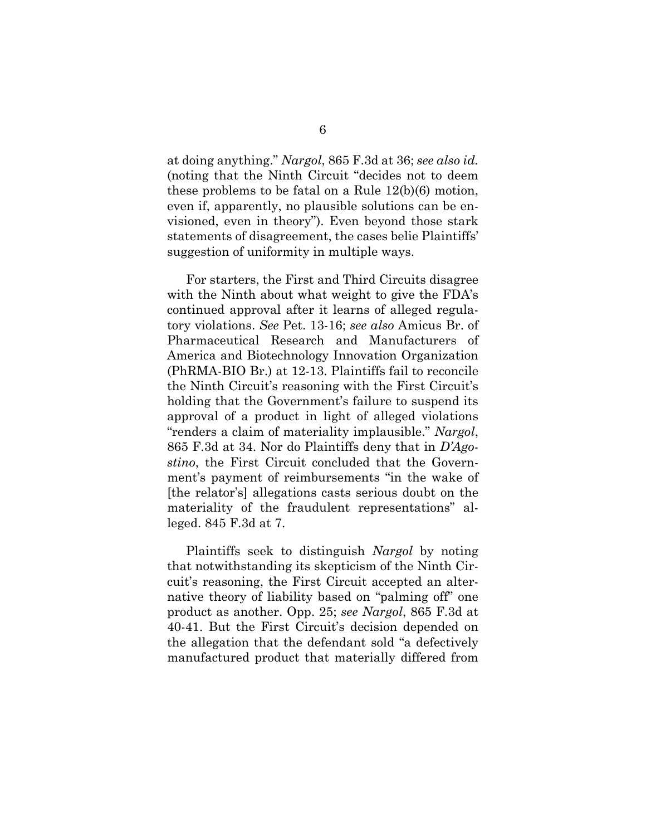at doing anything." *Nargol*, 865 F.3d at 36; *see also id.*  (noting that the Ninth Circuit "decides not to deem these problems to be fatal on a Rule 12(b)(6) motion, even if, apparently, no plausible solutions can be envisioned, even in theory"). Even beyond those stark statements of disagreement, the cases belie Plaintiffs' suggestion of uniformity in multiple ways.

For starters, the First and Third Circuits disagree with the Ninth about what weight to give the FDA's continued approval after it learns of alleged regulatory violations. *See* Pet. 13-16; *see also* Amicus Br. of Pharmaceutical Research and Manufacturers of America and Biotechnology Innovation Organization (PhRMA-BIO Br.) at 12-13. Plaintiffs fail to reconcile the Ninth Circuit's reasoning with the First Circuit's holding that the Government's failure to suspend its approval of a product in light of alleged violations "renders a claim of materiality implausible." *Nargol*, 865 F.3d at 34. Nor do Plaintiffs deny that in *D'Agostino*, the First Circuit concluded that the Government's payment of reimbursements "in the wake of [the relator's] allegations casts serious doubt on the materiality of the fraudulent representations" alleged. 845 F.3d at 7.

Plaintiffs seek to distinguish *Nargol* by noting that notwithstanding its skepticism of the Ninth Circuit's reasoning, the First Circuit accepted an alternative theory of liability based on "palming off" one product as another. Opp. 25; *see Nargol*, 865 F.3d at 40-41. But the First Circuit's decision depended on the allegation that the defendant sold "a defectively manufactured product that materially differed from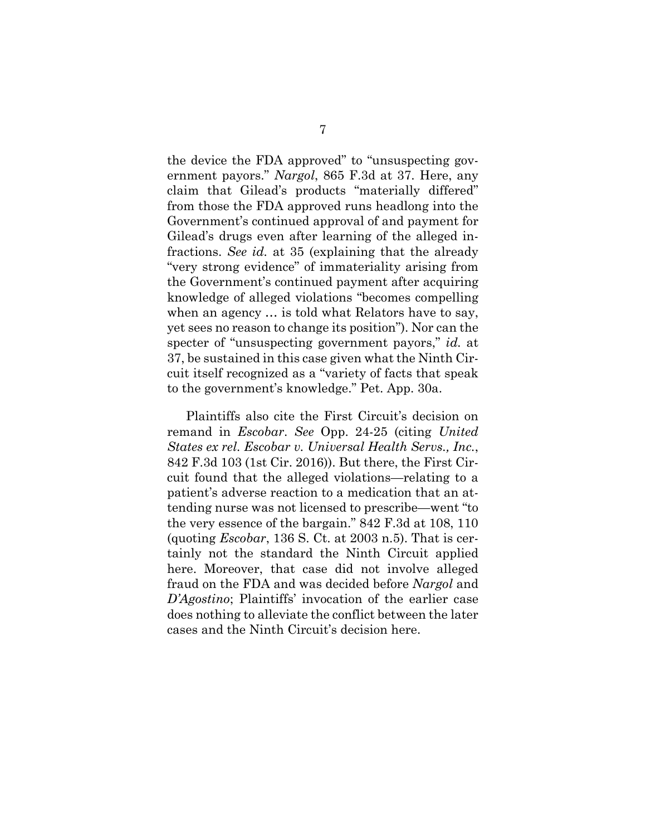the device the FDA approved" to "unsuspecting government payors." *Nargol*, 865 F.3d at 37. Here, any claim that Gilead's products "materially differed" from those the FDA approved runs headlong into the Government's continued approval of and payment for Gilead's drugs even after learning of the alleged infractions. *See id.* at 35 (explaining that the already "very strong evidence" of immateriality arising from the Government's continued payment after acquiring knowledge of alleged violations "becomes compelling when an agency … is told what Relators have to say, yet sees no reason to change its position"). Nor can the specter of "unsuspecting government payors," *id.* at 37, be sustained in this case given what the Ninth Circuit itself recognized as a "variety of facts that speak to the government's knowledge." Pet. App. 30a.

Plaintiffs also cite the First Circuit's decision on remand in *Escobar*. *See* Opp. 24-25 (citing *United States ex rel. Escobar v. Universal Health Servs., Inc.*, 842 F.3d 103 (1st Cir. 2016)). But there, the First Circuit found that the alleged violations—relating to a patient's adverse reaction to a medication that an attending nurse was not licensed to prescribe—went "to the very essence of the bargain." 842 F.3d at 108, 110 (quoting *Escobar*, 136 S. Ct. at 2003 n.5). That is certainly not the standard the Ninth Circuit applied here. Moreover, that case did not involve alleged fraud on the FDA and was decided before *Nargol* and *D'Agostino*; Plaintiffs' invocation of the earlier case does nothing to alleviate the conflict between the later cases and the Ninth Circuit's decision here.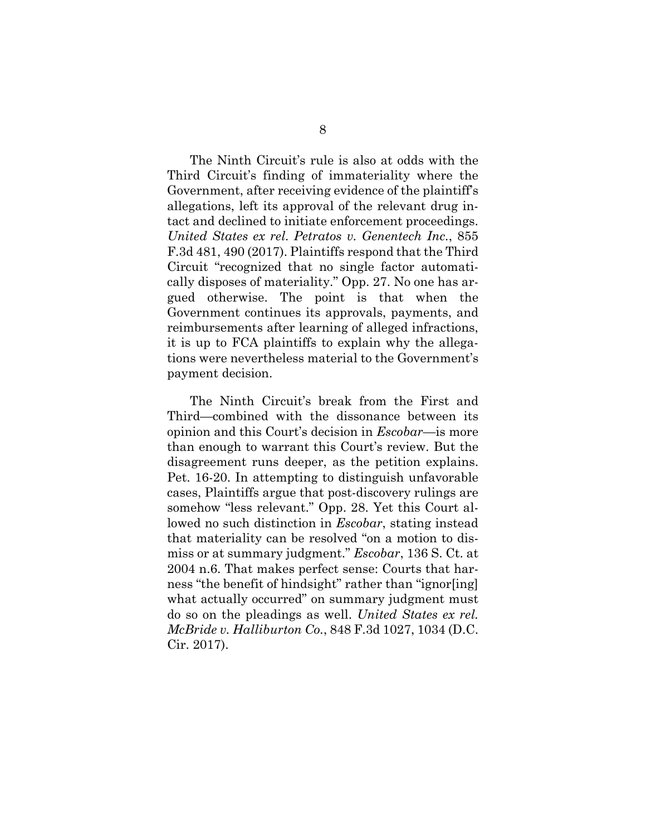The Ninth Circuit's rule is also at odds with the Third Circuit's finding of immateriality where the Government, after receiving evidence of the plaintiff's allegations, left its approval of the relevant drug intact and declined to initiate enforcement proceedings. *United States ex rel. Petratos v. Genentech Inc.*, 855 F.3d 481, 490 (2017). Plaintiffs respond that the Third Circuit "recognized that no single factor automatically disposes of materiality." Opp. 27. No one has argued otherwise. The point is that when the Government continues its approvals, payments, and reimbursements after learning of alleged infractions, it is up to FCA plaintiffs to explain why the allegations were nevertheless material to the Government's payment decision.

The Ninth Circuit's break from the First and Third—combined with the dissonance between its opinion and this Court's decision in *Escobar*—is more than enough to warrant this Court's review. But the disagreement runs deeper, as the petition explains. Pet. 16-20. In attempting to distinguish unfavorable cases, Plaintiffs argue that post-discovery rulings are somehow "less relevant." Opp. 28. Yet this Court allowed no such distinction in *Escobar*, stating instead that materiality can be resolved "on a motion to dismiss or at summary judgment." *Escobar*, 136 S. Ct. at 2004 n.6. That makes perfect sense: Courts that harness "the benefit of hindsight" rather than "ignor[ing] what actually occurred" on summary judgment must do so on the pleadings as well. *United States ex rel. McBride v. Halliburton Co.*, 848 F.3d 1027, 1034 (D.C. Cir. 2017).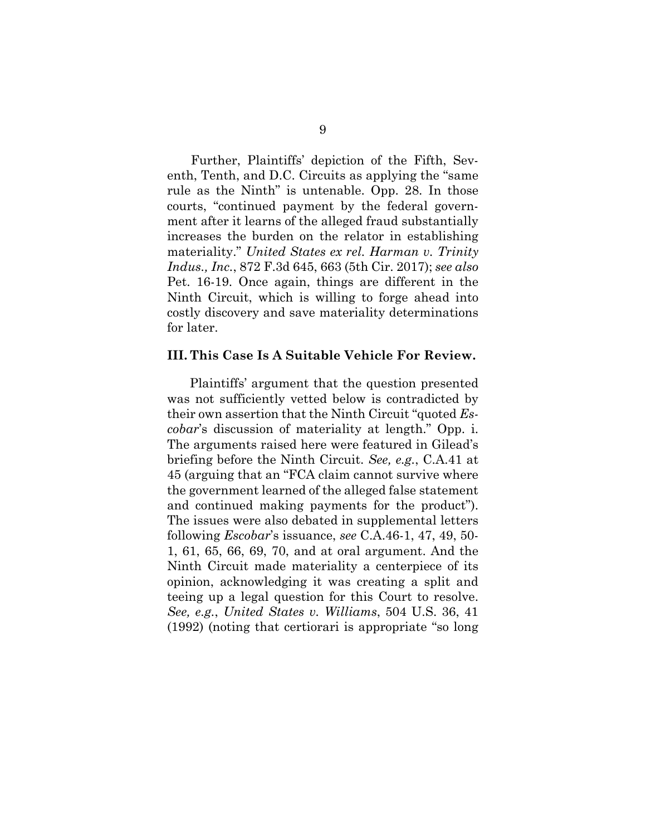Further, Plaintiffs' depiction of the Fifth, Seventh, Tenth, and D.C. Circuits as applying the "same rule as the Ninth" is untenable. Opp. 28. In those courts, "continued payment by the federal government after it learns of the alleged fraud substantially increases the burden on the relator in establishing materiality." *United States ex rel. Harman v. Trinity Indus., Inc.*, 872 F.3d 645, 663 (5th Cir. 2017); *see also*  Pet. 16-19. Once again, things are different in the Ninth Circuit, which is willing to forge ahead into costly discovery and save materiality determinations for later.

### **III. This Case Is A Suitable Vehicle For Review.**

Plaintiffs' argument that the question presented was not sufficiently vetted below is contradicted by their own assertion that the Ninth Circuit "quoted *Escobar*'s discussion of materiality at length." Opp. i. The arguments raised here were featured in Gilead's briefing before the Ninth Circuit. *See, e.g.*, C.A.41 at 45 (arguing that an "FCA claim cannot survive where the government learned of the alleged false statement and continued making payments for the product"). The issues were also debated in supplemental letters following *Escobar*'s issuance, *see* C.A.46-1, 47, 49, 50- 1, 61, 65, 66, 69, 70, and at oral argument. And the Ninth Circuit made materiality a centerpiece of its opinion, acknowledging it was creating a split and teeing up a legal question for this Court to resolve. *See, e.g.*, *United States v. Williams*, 504 U.S. 36, 41 (1992) (noting that certiorari is appropriate "so long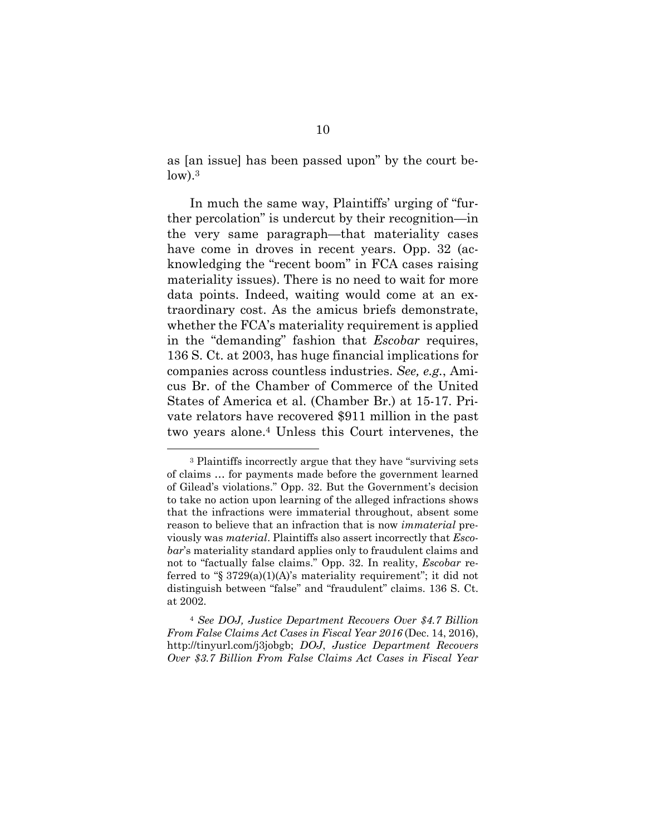as [an issue] has been passed upon" by the court be $low$ ).<sup>3</sup>

In much the same way, Plaintiffs' urging of "further percolation" is undercut by their recognition—in the very same paragraph—that materiality cases have come in droves in recent years. Opp. 32 (acknowledging the "recent boom" in FCA cases raising materiality issues). There is no need to wait for more data points. Indeed, waiting would come at an extraordinary cost. As the amicus briefs demonstrate, whether the FCA's materiality requirement is applied in the "demanding" fashion that *Escobar* requires, 136 S. Ct. at 2003, has huge financial implications for companies across countless industries. *See, e.g.*, Amicus Br. of the Chamber of Commerce of the United States of America et al. (Chamber Br.) at 15-17. Private relators have recovered \$911 million in the past two years alone.4 Unless this Court intervenes, the

<sup>4</sup> *See DOJ, Justice Department Recovers Over \$4.7 Billion From False Claims Act Cases in Fiscal Year 2016* (Dec. 14, 2016), http://tinyurl.com/j3jobgb; *DOJ*, *Justice Department Recovers Over \$3.7 Billion From False Claims Act Cases in Fiscal Year* 

 <sup>3</sup> Plaintiffs incorrectly argue that they have "surviving sets of claims … for payments made before the government learned of Gilead's violations." Opp. 32. But the Government's decision to take no action upon learning of the alleged infractions shows that the infractions were immaterial throughout, absent some reason to believe that an infraction that is now *immaterial* previously was *material*. Plaintiffs also assert incorrectly that *Escobar*'s materiality standard applies only to fraudulent claims and not to "factually false claims." Opp. 32. In reality, *Escobar* referred to "§  $3729(a)(1)(A)$ 's materiality requirement"; it did not distinguish between "false" and "fraudulent" claims. 136 S. Ct. at 2002.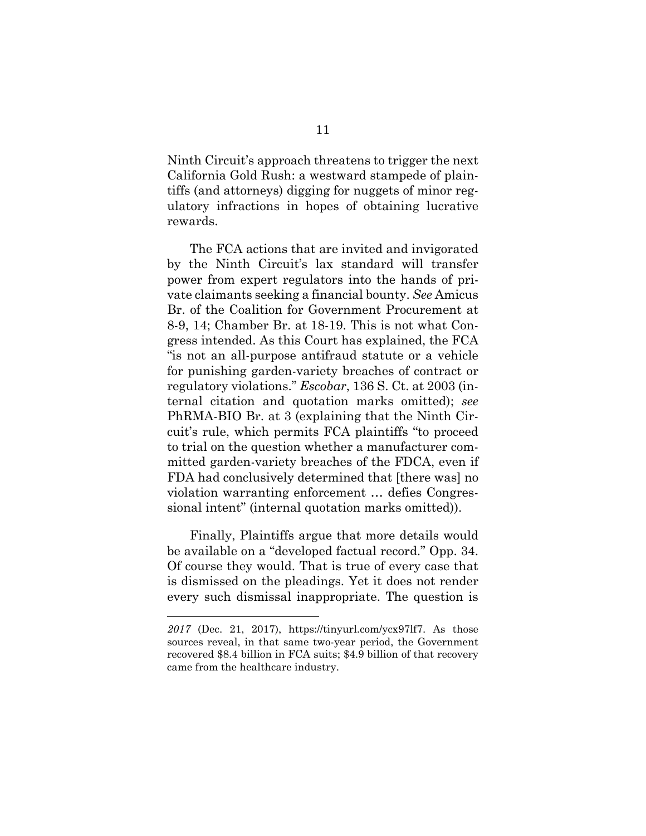Ninth Circuit's approach threatens to trigger the next California Gold Rush: a westward stampede of plaintiffs (and attorneys) digging for nuggets of minor regulatory infractions in hopes of obtaining lucrative rewards.

The FCA actions that are invited and invigorated by the Ninth Circuit's lax standard will transfer power from expert regulators into the hands of private claimants seeking a financial bounty. *See* Amicus Br. of the Coalition for Government Procurement at 8-9, 14; Chamber Br. at 18-19. This is not what Congress intended. As this Court has explained, the FCA "is not an all-purpose antifraud statute or a vehicle for punishing garden-variety breaches of contract or regulatory violations." *Escobar*, 136 S. Ct. at 2003 (internal citation and quotation marks omitted); *see* PhRMA-BIO Br. at 3 (explaining that the Ninth Circuit's rule, which permits FCA plaintiffs "to proceed to trial on the question whether a manufacturer committed garden-variety breaches of the FDCA, even if FDA had conclusively determined that [there was] no violation warranting enforcement … defies Congressional intent" (internal quotation marks omitted)).

Finally, Plaintiffs argue that more details would be available on a "developed factual record." Opp. 34. Of course they would. That is true of every case that is dismissed on the pleadings. Yet it does not render every such dismissal inappropriate. The question is

l

*<sup>2017</sup>* (Dec. 21, 2017), https://tinyurl.com/ycx97lf7. As those sources reveal, in that same two-year period, the Government recovered \$8.4 billion in FCA suits; \$4.9 billion of that recovery came from the healthcare industry.